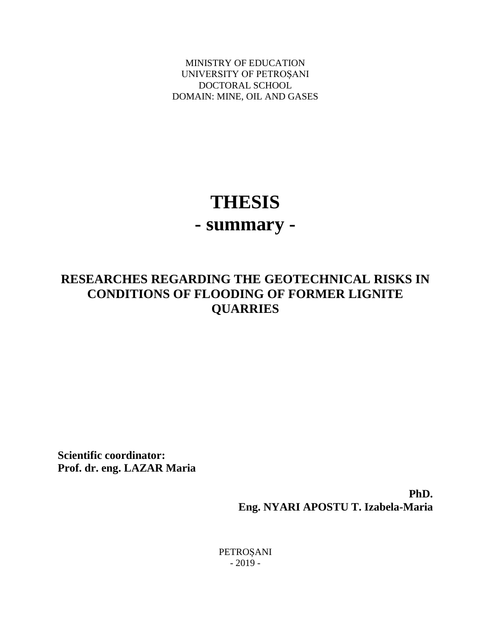MINISTRY OF EDUCATION UNIVERSITY OF PETROȘANI DOCTORAL SCHOOL DOMAIN: MINE, OIL AND GASES

# **THESIS - summary -**

# **RESEARCHES REGARDING THE GEOTECHNICAL RISKS IN CONDITIONS OF FLOODING OF FORMER LIGNITE QUARRIES**

**Scientific coordinator: Prof. dr. eng. LAZAR Maria**

> **PhD. Eng. NYARI APOSTU T. Izabela-Maria**

PETROȘANI - 2019 -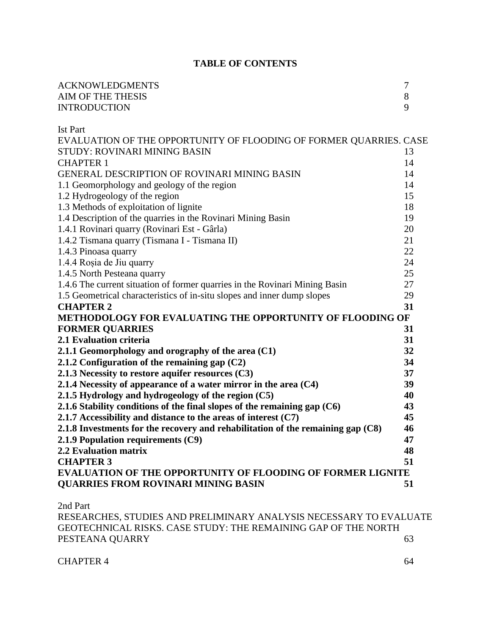## **TABLE OF CONTENTS**

| PESTEANA QUARRY                                                                                                                                  | 63       |
|--------------------------------------------------------------------------------------------------------------------------------------------------|----------|
| 2nd Part<br>RESEARCHES, STUDIES AND PRELIMINARY ANALYSIS NECESSARY TO EVALUATE<br>GEOTECHNICAL RISKS. CASE STUDY: THE REMAINING GAP OF THE NORTH |          |
| <b>QUARRIES FROM ROVINARI MINING BASIN</b>                                                                                                       | 51       |
| <b>EVALUATION OF THE OPPORTUNITY OF FLOODING OF FORMER LIGNITE</b>                                                                               |          |
| <b>CHAPTER 3</b>                                                                                                                                 | 51       |
| <b>2.2 Evaluation matrix</b>                                                                                                                     | 48       |
| 2.1.9 Population requirements (C9)                                                                                                               | 47       |
| 2.1.8 Investments for the recovery and rehabilitation of the remaining gap $(C8)$                                                                | 46       |
| 2.1.7 Accessibility and distance to the areas of interest $(C7)$                                                                                 | 45       |
| 2.1.6 Stability conditions of the final slopes of the remaining gap $(C6)$                                                                       | 43       |
| 2.1.5 Hydrology and hydrogeology of the region (C5)                                                                                              | 40       |
| 2.1.4 Necessity of appearance of a water mirror in the area $(C4)$                                                                               |          |
| 2.1.3 Necessity to restore aquifer resources (C3)                                                                                                | 39       |
| 2.1.2 Configuration of the remaining gap $(C2)$                                                                                                  | 37       |
| 2.1.1 Geomorphology and orography of the area (C1)                                                                                               | 32<br>34 |
| 2.1 Evaluation criteria                                                                                                                          | 31       |
| <b>FORMER QUARRIES</b>                                                                                                                           | 31       |
|                                                                                                                                                  |          |
| <b>CHAPTER 2</b><br>METHODOLOGY FOR EVALUATING THE OPPORTUNITY OF FLOODING OF                                                                    | 31       |
| 1.5 Geometrical characteristics of in-situ slopes and inner dump slopes                                                                          | 29       |
| 1.4.6 The current situation of former quarries in the Rovinari Mining Basin                                                                      | 27       |
| 1.4.5 North Pesteana quarry                                                                                                                      | 25       |
| 1.4.4 Roșia de Jiu quarry                                                                                                                        |          |
| 1.4.3 Pinoasa quarry                                                                                                                             | 22<br>24 |
| 1.4.2 Tismana quarry (Tismana I - Tismana II)                                                                                                    | 21       |
| 1.4.1 Rovinari quarry (Rovinari Est - Gârla)                                                                                                     | 20       |
| 1.4 Description of the quarries in the Rovinari Mining Basin                                                                                     |          |
| 1.3 Methods of exploitation of lignite                                                                                                           | 19       |
| 1.2 Hydrogeology of the region                                                                                                                   | 18       |
| 1.1 Geomorphology and geology of the region                                                                                                      | 14<br>15 |
| <b>GENERAL DESCRIPTION OF ROVINARI MINING BASIN</b>                                                                                              | 14       |
| <b>CHAPTER 1</b>                                                                                                                                 | 14       |
| STUDY: ROVINARI MINING BASIN                                                                                                                     | 13       |
| EVALUATION OF THE OPPORTUNITY OF FLOODING OF FORMER QUARRIES. CASE                                                                               |          |
| <b>Ist Part</b>                                                                                                                                  |          |
|                                                                                                                                                  |          |
| <b>INTRODUCTION</b>                                                                                                                              | 9        |
| AIM OF THE THESIS                                                                                                                                | 8        |
| <b>ACKNOWLEDGMENTS</b>                                                                                                                           | 7        |
|                                                                                                                                                  |          |

CHAPTER 4 64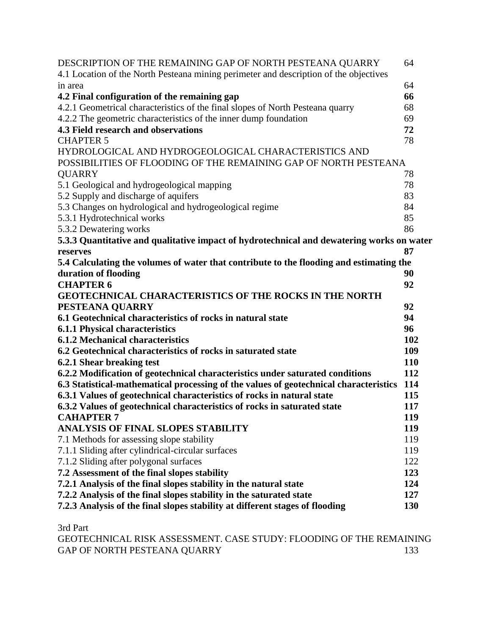| DESCRIPTION OF THE REMAINING GAP OF NORTH PESTEANA QUARRY                                 | 64         |
|-------------------------------------------------------------------------------------------|------------|
| 4.1 Location of the North Pesteana mining perimeter and description of the objectives     |            |
| in area                                                                                   | 64         |
| 4.2 Final configuration of the remaining gap                                              | 66         |
| 4.2.1 Geometrical characteristics of the final slopes of North Pesteana quarry            | 68         |
| 4.2.2 The geometric characteristics of the inner dump foundation                          | 69         |
| 4.3 Field research and observations                                                       | 72         |
| <b>CHAPTER 5</b>                                                                          | 78         |
| HYDROLOGICAL AND HYDROGEOLOGICAL CHARACTERISTICS AND                                      |            |
| POSSIBILITIES OF FLOODING OF THE REMAINING GAP OF NORTH PESTEANA                          |            |
| <b>QUARRY</b>                                                                             | 78         |
| 5.1 Geological and hydrogeological mapping                                                | 78         |
| 5.2 Supply and discharge of aquifers                                                      | 83         |
| 5.3 Changes on hydrological and hydrogeological regime                                    | 84         |
| 5.3.1 Hydrotechnical works                                                                | 85         |
| 5.3.2 Dewatering works                                                                    | 86         |
| 5.3.3 Quantitative and qualitative impact of hydrotechnical and dewatering works on water |            |
| reserves                                                                                  | 87         |
| 5.4 Calculating the volumes of water that contribute to the flooding and estimating the   |            |
| duration of flooding                                                                      | 90         |
| <b>CHAPTER 6</b>                                                                          | 92         |
| <b>GEOTECHNICAL CHARACTERISTICS OF THE ROCKS IN THE NORTH</b>                             |            |
| PESTEANA QUARRY                                                                           | 92         |
| 6.1 Geotechnical characteristics of rocks in natural state                                | 94         |
| <b>6.1.1 Physical characteristics</b>                                                     | 96         |
| <b>6.1.2 Mechanical characteristics</b>                                                   | 102        |
| 6.2 Geotechnical characteristics of rocks in saturated state                              | 109        |
| 6.2.1 Shear breaking test                                                                 | <b>110</b> |
| 6.2.2 Modification of geotechnical characteristics under saturated conditions             | 112        |
| 6.3 Statistical-mathematical processing of the values of geotechnical characteristics     | 114        |
| 6.3.1 Values of geotechnical characteristics of rocks in natural state                    | 115        |
| 6.3.2 Values of geotechnical characteristics of rocks in saturated state                  | 117        |
| <b>CAHAPTER 7</b>                                                                         | 119        |
| <b>ANALYSIS OF FINAL SLOPES STABILITY</b>                                                 | 119        |
| 7.1 Methods for assessing slope stability                                                 | 119        |
| 7.1.1 Sliding after cylindrical-circular surfaces                                         | 119        |
| 7.1.2 Sliding after polygonal surfaces                                                    | 122        |
| 7.2 Assessment of the final slopes stability                                              | 123        |
| 7.2.1 Analysis of the final slopes stability in the natural state                         | 124        |
| 7.2.2 Analysis of the final slopes stability in the saturated state                       | 127        |
| 7.2.3 Analysis of the final slopes stability at different stages of flooding              | 130        |
|                                                                                           |            |

3rd Part

GEOTECHNICAL RISK ASSESSMENT. CASE STUDY: FLOODING OF THE REMAINING GAP OF NORTH PESTEANA QUARRY 133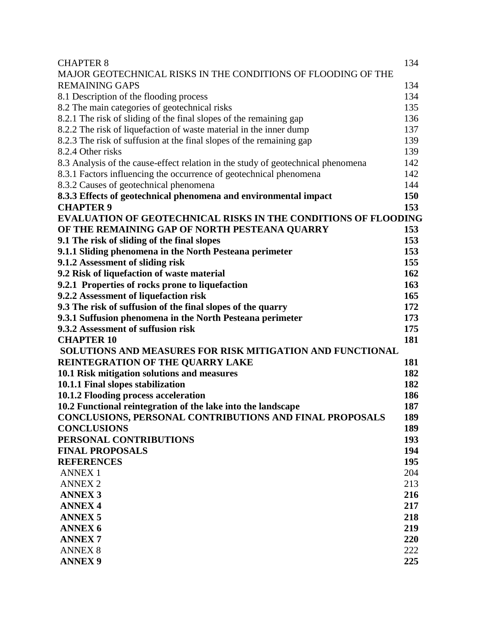| <b>CHAPTER 8</b>                                                                 | 134 |
|----------------------------------------------------------------------------------|-----|
| MAJOR GEOTECHNICAL RISKS IN THE CONDITIONS OF FLOODING OF THE                    |     |
| <b>REMAINING GAPS</b>                                                            | 134 |
| 8.1 Description of the flooding process                                          | 134 |
| 8.2 The main categories of geotechnical risks                                    | 135 |
| 8.2.1 The risk of sliding of the final slopes of the remaining gap               | 136 |
| 8.2.2 The risk of liquefaction of waste material in the inner dump               | 137 |
| 8.2.3 The risk of suffusion at the final slopes of the remaining gap             | 139 |
| 8.2.4 Other risks                                                                | 139 |
| 8.3 Analysis of the cause-effect relation in the study of geotechnical phenomena | 142 |
| 8.3.1 Factors influencing the occurrence of geotechnical phenomena               | 142 |
| 8.3.2 Causes of geotechnical phenomena                                           | 144 |
| 8.3.3 Effects of geotechnical phenomena and environmental impact                 | 150 |
| <b>CHAPTER 9</b>                                                                 | 153 |
| <b>EVALUATION OF GEOTECHNICAL RISKS IN THE CONDITIONS OF FLOODING</b>            |     |
| OF THE REMAINING GAP OF NORTH PESTEANA QUARRY                                    | 153 |
| 9.1 The risk of sliding of the final slopes                                      | 153 |
| 9.1.1 Sliding phenomena in the North Pesteana perimeter                          | 153 |
| 9.1.2 Assessment of sliding risk                                                 | 155 |
| 9.2 Risk of liquefaction of waste material                                       | 162 |
| 9.2.1 Properties of rocks prone to liquefaction                                  | 163 |
| 9.2.2 Assessment of liquefaction risk                                            | 165 |
| 9.3 The risk of suffusion of the final slopes of the quarry                      | 172 |
| 9.3.1 Suffusion phenomena in the North Pesteana perimeter                        | 173 |
| 9.3.2 Assessment of suffusion risk                                               | 175 |
| <b>CHAPTER 10</b>                                                                | 181 |
| SOLUTIONS AND MEASURES FOR RISK MITIGATION AND FUNCTIONAL                        |     |
| REINTEGRATION OF THE QUARRY LAKE                                                 | 181 |
| 10.1 Risk mitigation solutions and measures                                      | 182 |
| 10.1.1 Final slopes stabilization                                                | 182 |
| 10.1.2 Flooding process acceleration                                             | 186 |
| 10.2 Functional reintegration of the lake into the landscape                     | 187 |
| CONCLUSIONS, PERSONAL CONTRIBUTIONS AND FINAL PROPOSALS                          | 189 |
| <b>CONCLUSIONS</b>                                                               | 189 |
| PERSONAL CONTRIBUTIONS                                                           | 193 |
| <b>FINAL PROPOSALS</b>                                                           | 194 |
| <b>REFERENCES</b>                                                                | 195 |
| <b>ANNEX 1</b>                                                                   | 204 |
| <b>ANNEX 2</b>                                                                   | 213 |
| <b>ANNEX 3</b>                                                                   | 216 |
| <b>ANNEX 4</b>                                                                   | 217 |
| <b>ANNEX 5</b>                                                                   | 218 |
| <b>ANNEX 6</b>                                                                   | 219 |
| <b>ANNEX7</b>                                                                    | 220 |
| <b>ANNEX 8</b>                                                                   | 222 |
| <b>ANNEX 9</b>                                                                   | 225 |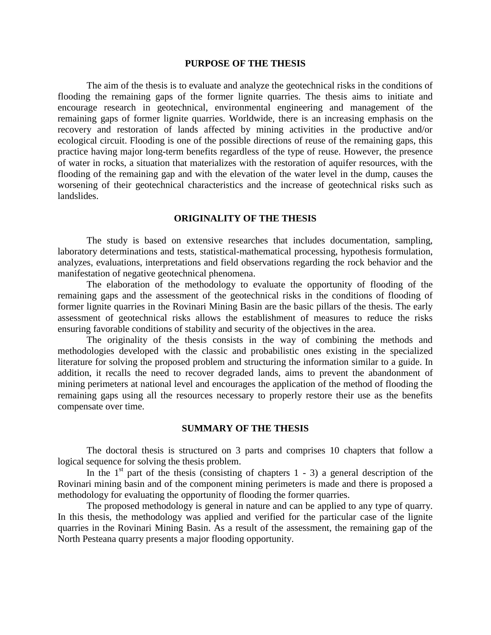#### **PURPOSE OF THE THESIS**

The aim of the thesis is to evaluate and analyze the geotechnical risks in the conditions of flooding the remaining gaps of the former lignite quarries. The thesis aims to initiate and encourage research in geotechnical, environmental engineering and management of the remaining gaps of former lignite quarries. Worldwide, there is an increasing emphasis on the recovery and restoration of lands affected by mining activities in the productive and/or ecological circuit. Flooding is one of the possible directions of reuse of the remaining gaps, this practice having major long-term benefits regardless of the type of reuse. However, the presence of water in rocks, a situation that materializes with the restoration of aquifer resources, with the flooding of the remaining gap and with the elevation of the water level in the dump, causes the worsening of their geotechnical characteristics and the increase of geotechnical risks such as landslides.

#### **ORIGINALITY OF THE THESIS**

The study is based on extensive researches that includes documentation, sampling, laboratory determinations and tests, statistical-mathematical processing, hypothesis formulation, analyzes, evaluations, interpretations and field observations regarding the rock behavior and the manifestation of negative geotechnical phenomena.

The elaboration of the methodology to evaluate the opportunity of flooding of the remaining gaps and the assessment of the geotechnical risks in the conditions of flooding of former lignite quarries in the Rovinari Mining Basin are the basic pillars of the thesis. The early assessment of geotechnical risks allows the establishment of measures to reduce the risks ensuring favorable conditions of stability and security of the objectives in the area.

The originality of the thesis consists in the way of combining the methods and methodologies developed with the classic and probabilistic ones existing in the specialized literature for solving the proposed problem and structuring the information similar to a guide. In addition, it recalls the need to recover degraded lands, aims to prevent the abandonment of mining perimeters at national level and encourages the application of the method of flooding the remaining gaps using all the resources necessary to properly restore their use as the benefits compensate over time.

#### **SUMMARY OF THE THESIS**

The doctoral thesis is structured on 3 parts and comprises 10 chapters that follow a logical sequence for solving the thesis problem.

In the  $1<sup>st</sup>$  part of the thesis (consisting of chapters 1 - 3) a general description of the Rovinari mining basin and of the component mining perimeters is made and there is proposed a methodology for evaluating the opportunity of flooding the former quarries.

The proposed methodology is general in nature and can be applied to any type of quarry. In this thesis, the methodology was applied and verified for the particular case of the lignite quarries in the Rovinari Mining Basin. As a result of the assessment, the remaining gap of the North Pesteana quarry presents a major flooding opportunity.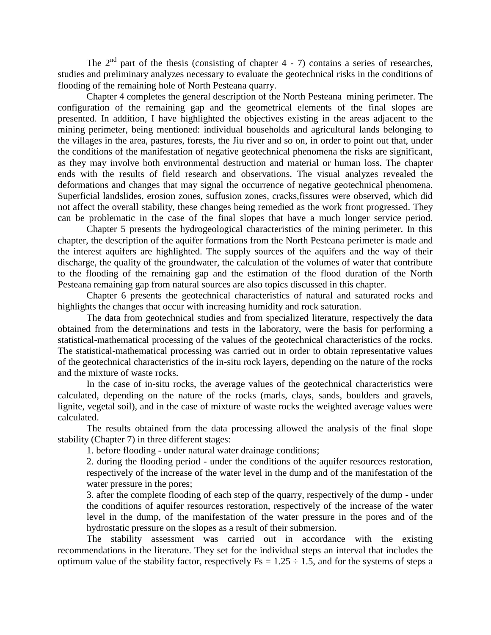The  $2<sup>nd</sup>$  part of the thesis (consisting of chapter 4 - 7) contains a series of researches, studies and preliminary analyzes necessary to evaluate the geotechnical risks in the conditions of flooding of the remaining hole of North Pesteana quarry.

Chapter 4 completes the general description of the North Pesteana mining perimeter. The configuration of the remaining gap and the geometrical elements of the final slopes are presented. In addition, I have highlighted the objectives existing in the areas adjacent to the mining perimeter, being mentioned: individual households and agricultural lands belonging to the villages in the area, pastures, forests, the Jiu river and so on, in order to point out that, under the conditions of the manifestation of negative geotechnical phenomena the risks are significant, as they may involve both environmental destruction and material or human loss. The chapter ends with the results of field research and observations. The visual analyzes revealed the deformations and changes that may signal the occurrence of negative geotechnical phenomena. Superficial landslides, erosion zones, suffusion zones, cracks,fissures were observed, which did not affect the overall stability, these changes being remedied as the work front progressed. They can be problematic in the case of the final slopes that have a much longer service period.

Chapter 5 presents the hydrogeological characteristics of the mining perimeter. In this chapter, the description of the aquifer formations from the North Pesteana perimeter is made and the interest aquifers are highlighted. The supply sources of the aquifers and the way of their discharge, the quality of the groundwater, the calculation of the volumes of water that contribute to the flooding of the remaining gap and the estimation of the flood duration of the North Pesteana remaining gap from natural sources are also topics discussed in this chapter.

Chapter 6 presents the geotechnical characteristics of natural and saturated rocks and highlights the changes that occur with increasing humidity and rock saturation.

The data from geotechnical studies and from specialized literature, respectively the data obtained from the determinations and tests in the laboratory, were the basis for performing a statistical-mathematical processing of the values of the geotechnical characteristics of the rocks. The statistical-mathematical processing was carried out in order to obtain representative values of the geotechnical characteristics of the in-situ rock layers, depending on the nature of the rocks and the mixture of waste rocks.

In the case of in-situ rocks, the average values of the geotechnical characteristics were calculated, depending on the nature of the rocks (marls, clays, sands, boulders and gravels, lignite, vegetal soil), and in the case of mixture of waste rocks the weighted average values were calculated.

The results obtained from the data processing allowed the analysis of the final slope stability (Chapter 7) in three different stages:

1. before flooding - under natural water drainage conditions;

2. during the flooding period - under the conditions of the aquifer resources restoration, respectively of the increase of the water level in the dump and of the manifestation of the water pressure in the pores;

3. after the complete flooding of each step of the quarry, respectively of the dump - under the conditions of aquifer resources restoration, respectively of the increase of the water level in the dump, of the manifestation of the water pressure in the pores and of the hydrostatic pressure on the slopes as a result of their submersion.

The stability assessment was carried out in accordance with the existing recommendations in the literature. They set for the individual steps an interval that includes the optimum value of the stability factor, respectively  $Fs = 1.25 \div 1.5$ , and for the systems of steps a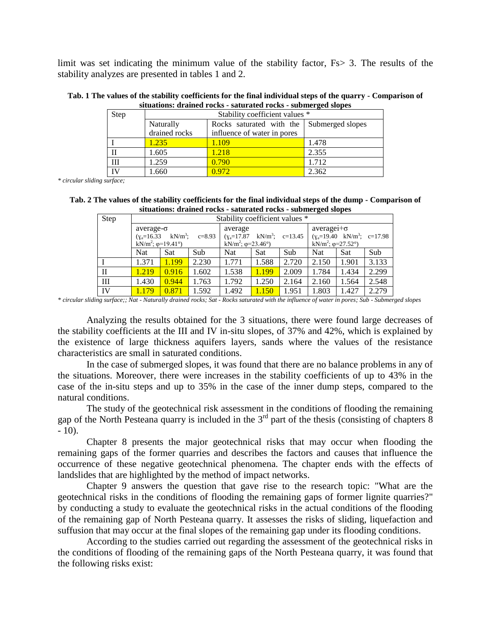limit was set indicating the minimum value of the stability factor, Fs> 3. The results of the stability analyzes are presented in tables 1 and 2.

**Tab. 1 The values of the stability coefficients for the final individual steps of the quarry - Comparison of situations: drained rocks - saturated rocks - submerged slopes**

| Step | Stability coefficient values * |                                           |       |  |  |  |
|------|--------------------------------|-------------------------------------------|-------|--|--|--|
|      | Naturally                      | Rocks saturated with the Submerged slopes |       |  |  |  |
|      | drained rocks                  | influence of water in pores               |       |  |  |  |
|      | 1.235                          | 1.109                                     | 1.478 |  |  |  |
|      | 1.605                          | 1.218                                     | 2.355 |  |  |  |
| Ш    | 1.259                          | 0.790                                     | 1.712 |  |  |  |
| TV   | 1.660                          | 0.972                                     | 2.362 |  |  |  |

*\* circular sliding surface;*

**Tab. 2 The values of the stability coefficients for the final individual steps of the dump - Comparison of situations: drained rocks - saturated rocks - submerged slopes**

| Step | Stability coefficient values *                                                |       |       |                                                                                                   |            |       |                                                                                                      |       |       |
|------|-------------------------------------------------------------------------------|-------|-------|---------------------------------------------------------------------------------------------------|------------|-------|------------------------------------------------------------------------------------------------------|-------|-------|
|      | $average-\sigma$                                                              |       |       | average<br>$(y_a=17.87 \text{ kN/m}^3; \text{ c}=13.45$<br>kN/m <sup>2</sup> ; $\varphi$ =23.46°) |            |       | $average + \sigma$<br>$(y_a=19.40 \text{ kN/m}^3; c=17.98$<br>kN/m <sup>2</sup> ; $\varphi$ =27.52°) |       |       |
|      | $(y_a=16.33 \text{ kN/m}^3; c=8.93$<br>kN/m <sup>2</sup> ; $\varphi$ =19.41°) |       |       |                                                                                                   |            |       |                                                                                                      |       |       |
|      | Nat                                                                           | Sat   | Sub   | <b>Nat</b>                                                                                        | <b>Sat</b> | Sub   | Nat                                                                                                  | Sat   | Sub   |
|      | 1.371                                                                         | 1.199 | 2.230 | 1.771                                                                                             | 1.588      | 2.720 | 2.150                                                                                                | 1.901 | 3.133 |
| H    | 1.219                                                                         | 0.916 | 1.602 | 1.538                                                                                             | 1.199      | 2.009 | 1.784                                                                                                | 1.434 | 2.299 |
| Ш    | 1.430                                                                         | 0.944 | 1.763 | 1.792                                                                                             | 1.250      | 2.164 | 2.160                                                                                                | 1.564 | 2.548 |
| IV   | 1.179                                                                         | 0.871 | 1.592 | 1.492                                                                                             | 1.150      | 1.951 | 1.803                                                                                                | 1.427 | 2.279 |

*\* circular sliding surface;; Nat - Naturally drained rocks; Sat - Rocks saturated with the influence of water in pores; Sub - Submerged slopes*

Analyzing the results obtained for the 3 situations, there were found large decreases of the stability coefficients at the III and IV in-situ slopes, of 37% and 42%, which is explained by the existence of large thickness aquifers layers, sands where the values of the resistance characteristics are small in saturated conditions.

In the case of submerged slopes, it was found that there are no balance problems in any of the situations. Moreover, there were increases in the stability coefficients of up to 43% in the case of the in-situ steps and up to 35% in the case of the inner dump steps, compared to the natural conditions.

The study of the geotechnical risk assessment in the conditions of flooding the remaining gap of the North Pesteana quarry is included in the  $3<sup>rd</sup>$  part of the thesis (consisting of chapters  $\overline{8}$ )  $-10$ ).

Chapter 8 presents the major geotechnical risks that may occur when flooding the remaining gaps of the former quarries and describes the factors and causes that influence the occurrence of these negative geotechnical phenomena. The chapter ends with the effects of landslides that are highlighted by the method of impact networks.

Chapter 9 answers the question that gave rise to the research topic: "What are the geotechnical risks in the conditions of flooding the remaining gaps of former lignite quarries?" by conducting a study to evaluate the geotechnical risks in the actual conditions of the flooding of the remaining gap of North Pesteana quarry. It assesses the risks of sliding, liquefaction and suffusion that may occur at the final slopes of the remaining gap under its flooding conditions.

According to the studies carried out regarding the assessment of the geotechnical risks in the conditions of flooding of the remaining gaps of the North Pesteana quarry, it was found that the following risks exist: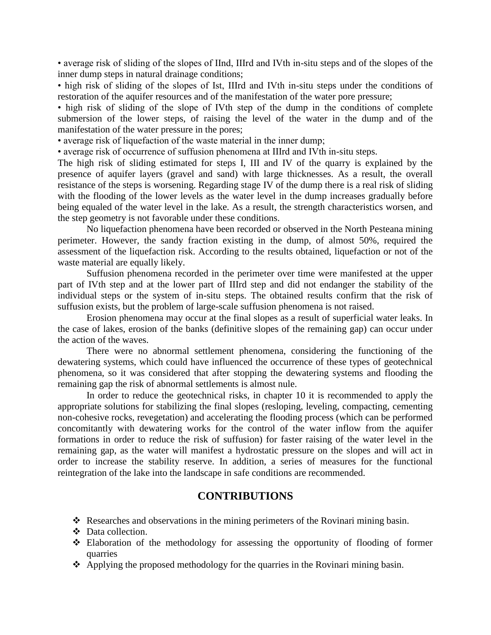• average risk of sliding of the slopes of IInd, IIIrd and IVth in-situ steps and of the slopes of the inner dump steps in natural drainage conditions;

• high risk of sliding of the slopes of Ist, IIIrd and IVth in-situ steps under the conditions of restoration of the aquifer resources and of the manifestation of the water pore pressure;

• high risk of sliding of the slope of IVth step of the dump in the conditions of complete submersion of the lower steps, of raising the level of the water in the dump and of the manifestation of the water pressure in the pores;

• average risk of liquefaction of the waste material in the inner dump;

• average risk of occurrence of suffusion phenomena at IIIrd and IVth in-situ steps.

The high risk of sliding estimated for steps I, III and IV of the quarry is explained by the presence of aquifer layers (gravel and sand) with large thicknesses. As a result, the overall resistance of the steps is worsening. Regarding stage IV of the dump there is a real risk of sliding with the flooding of the lower levels as the water level in the dump increases gradually before being equaled of the water level in the lake. As a result, the strength characteristics worsen, and the step geometry is not favorable under these conditions.

No liquefaction phenomena have been recorded or observed in the North Pesteana mining perimeter. However, the sandy fraction existing in the dump, of almost 50%, required the assessment of the liquefaction risk. According to the results obtained, liquefaction or not of the waste material are equally likely.

Suffusion phenomena recorded in the perimeter over time were manifested at the upper part of IVth step and at the lower part of IIIrd step and did not endanger the stability of the individual steps or the system of in-situ steps. The obtained results confirm that the risk of suffusion exists, but the problem of large-scale suffusion phenomena is not raised.

Erosion phenomena may occur at the final slopes as a result of superficial water leaks. In the case of lakes, erosion of the banks (definitive slopes of the remaining gap) can occur under the action of the waves.

There were no abnormal settlement phenomena, considering the functioning of the dewatering systems, which could have influenced the occurrence of these types of geotechnical phenomena, so it was considered that after stopping the dewatering systems and flooding the remaining gap the risk of abnormal settlements is almost nule.

In order to reduce the geotechnical risks, in chapter 10 it is recommended to apply the appropriate solutions for stabilizing the final slopes (resloping, leveling, compacting, cementing non-cohesive rocks, revegetation) and accelerating the flooding process (which can be performed concomitantly with dewatering works for the control of the water inflow from the aquifer formations in order to reduce the risk of suffusion) for faster raising of the water level in the remaining gap, as the water will manifest a hydrostatic pressure on the slopes and will act in order to increase the stability reserve. In addition, a series of measures for the functional reintegration of the lake into the landscape in safe conditions are recommended.

### **CONTRIBUTIONS**

- \* Researches and observations in the mining perimeters of the Rovinari mining basin.
- Data collection.
- Elaboration of the methodology for assessing the opportunity of flooding of former quarries
- Applying the proposed methodology for the quarries in the Rovinari mining basin.